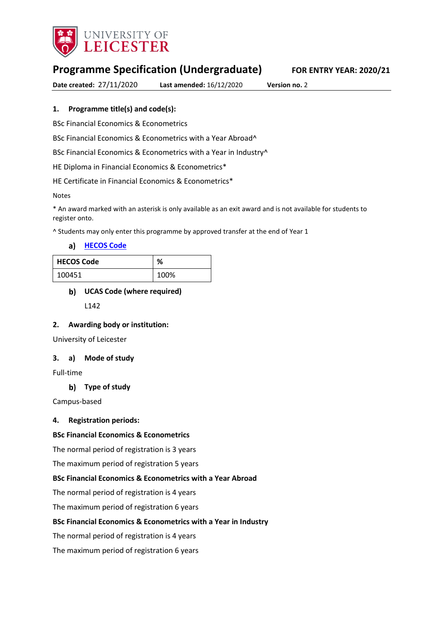

# **Programme Specification (Undergraduate) FOR ENTRY YEAR: 2020/21**

**Date created:** 27/11/2020 **Last amended:** 16/12/2020 **Version no.** 2

### **1. Programme title(s) and code(s):**

BSc Financial Economics & Econometrics

BSc Financial Economics & Econometrics with a Year Abroad^

BSc Financial Economics & Econometrics with a Year in Industry^

HE Diploma in Financial Economics & Econometrics\*

HE Certificate in Financial Economics & Econometrics\*

Notes

\* An award marked with an asterisk is only available as an exit award and is not available for students to register onto.

^ Students may only enter this programme by approved transfer at the end of Year 1

**[HECOS Code](https://www.hesa.ac.uk/innovation/hecos)**

| <b>HECOS Code</b> | ℅    |
|-------------------|------|
| 100451            | 100% |

### **UCAS Code (where required)**

L142

### **2. Awarding body or institution:**

University of Leicester

### **3. a) Mode of study**

Full-time

### **Type of study**

Campus-based

### **4. Registration periods:**

### **BSc Financial Economics & Econometrics**

The normal period of registration is 3 years

The maximum period of registration 5 years

### **BSc Financial Economics & Econometrics with a Year Abroad**

The normal period of registration is 4 years

The maximum period of registration 6 years

### **BSc Financial Economics & Econometrics with a Year in Industry**

The normal period of registration is 4 years

The maximum period of registration 6 years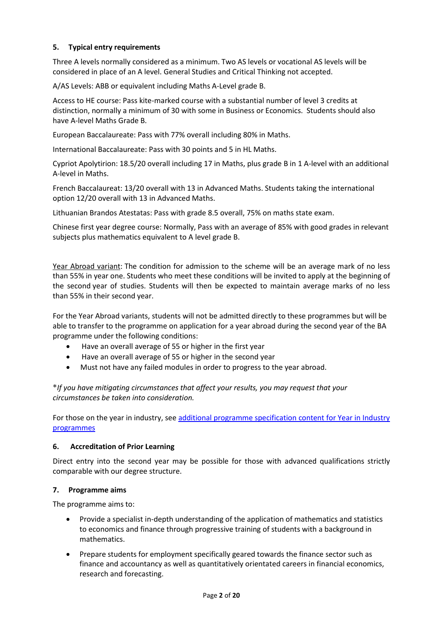### **5. Typical entry requirements**

Three A levels normally considered as a minimum. Two AS levels or vocational AS levels will be considered in place of an A level. General Studies and Critical Thinking not accepted.

A/AS Levels: ABB or equivalent including Maths A-Level grade B.

Access to HE course: Pass kite-marked course with a substantial number of level 3 credits at distinction, normally a minimum of 30 with some in Business or Economics. Students should also have A-level Maths Grade B.

European Baccalaureate: Pass with 77% overall including 80% in Maths.

International Baccalaureate: Pass with 30 points and 5 in HL Maths.

Cypriot Apolytirion: 18.5/20 overall including 17 in Maths, plus grade B in 1 A-level with an additional A-level in Maths.

French Baccalaureat: 13/20 overall with 13 in Advanced Maths. Students taking the international option 12/20 overall with 13 in Advanced Maths.

Lithuanian Brandos Atestatas: Pass with grade 8.5 overall, 75% on maths state exam.

Chinese first year degree course: Normally, Pass with an average of 85% with good grades in relevant subjects plus mathematics equivalent to A level grade B.

Year Abroad variant: The condition for admission to the scheme will be an average mark of no less than 55% in year one. Students who meet these conditions will be invited to apply at the beginning of the second year of studies. Students will then be expected to maintain average marks of no less than 55% in their second year.

For the Year Abroad variants, students will not be admitted directly to these programmes but will be able to transfer to the programme on application for a year abroad during the second year of the BA programme under the following conditions:

- Have an overall average of 55 or higher in the first year
- Have an overall average of 55 or higher in the second year
- Must not have any failed modules in order to progress to the year abroad.

**\****If you have mitigating circumstances that affect your results, you may request that your circumstances be taken into consideration.*

For those on the year in industry, se[e additional programme specification content for Year in Industry](https://www2.le.ac.uk/offices/sas2/courses/documentation/undergraduate-programme-specification-content-for-year-in-industry-programme-variants)  [programmes](https://www2.le.ac.uk/offices/sas2/courses/documentation/undergraduate-programme-specification-content-for-year-in-industry-programme-variants)

### **6. Accreditation of Prior Learning**

Direct entry into the second year may be possible for those with advanced qualifications strictly comparable with our degree structure.

### **7. Programme aims**

The programme aims to:

- Provide a specialist in-depth understanding of the application of mathematics and statistics to economics and finance through progressive training of students with a background in mathematics.
- Prepare students for employment specifically geared towards the finance sector such as finance and accountancy as well as quantitatively orientated careers in financial economics, research and forecasting.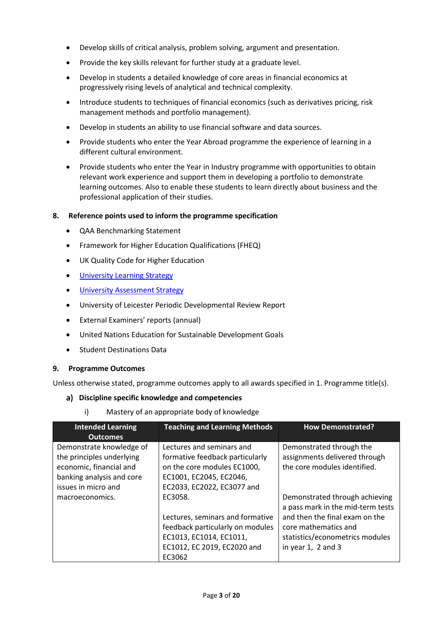- Develop skills of critical analysis, problem solving, argument and presentation.
- Provide the key skills relevant for further study at a graduate level.
- Develop in students a detailed knowledge of core areas in financial economics at progressively rising levels of analytical and technical complexity.
- Introduce students to techniques of financial economics (such as derivatives pricing, risk management methods and portfolio management).
- Develop in students an ability to use financial software and data sources.
- Provide students who enter the Year Abroad programme the experience of learning in a different cultural environment.
- Provide students who enter the Year in Industry programme with opportunities to obtain relevant work experience and support them in developing a portfolio to demonstrate learning outcomes. Also to enable these students to learn directly about business and the professional application of their studies.

### **8. Reference points used to inform the programme specification**

- QAA Benchmarking Statement
- Framework for Higher Education Qualifications (FHEQ)
- UK Quality Code for Higher Education
- **•** University Learnin[g Strategy](https://www2.le.ac.uk/offices/sas2/quality/learnteach)
- [University Assessment Strategy](https://www2.le.ac.uk/offices/sas2/quality/learnteach)
- University of Leicester Periodic Developmental Review Report
- External Examiners' reports (annual)
- United Nations Education for Sustainable Development Goals
- Student Destinations Data

### **9. Programme Outcomes**

Unless otherwise stated, programme outcomes apply to all awards specified in 1. Programme title(s).

### **Discipline specific knowledge and competencies**

i) Mastery of an appropriate body of knowledge

| <b>Intended Learning</b><br><b>Outcomes</b>                                                                                          | <b>Teaching and Learning Methods</b>                                                                                                                 | <b>How Demonstrated?</b>                                                                                                                                                                   |
|--------------------------------------------------------------------------------------------------------------------------------------|------------------------------------------------------------------------------------------------------------------------------------------------------|--------------------------------------------------------------------------------------------------------------------------------------------------------------------------------------------|
| Demonstrate knowledge of<br>the principles underlying<br>economic, financial and<br>banking analysis and core<br>issues in micro and | Lectures and seminars and<br>formative feedback particularly<br>on the core modules EC1000,<br>EC1001, EC2045, EC2046,<br>EC2033, EC2022, EC3077 and | Demonstrated through the<br>assignments delivered through<br>the core modules identified.                                                                                                  |
| macroeconomics.                                                                                                                      | EC3058.<br>Lectures, seminars and formative<br>feedback particularly on modules<br>EC1013, EC1014, EC1011,<br>EC1012, EC 2019, EC2020 and<br>EC3062  | Demonstrated through achieving<br>a pass mark in the mid-term tests<br>and then the final exam on the<br>core mathematics and<br>statistics/econometrics modules<br>in year $1, 2$ and $3$ |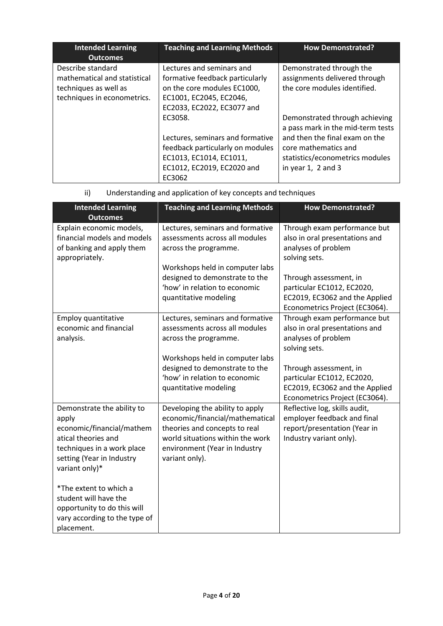| <b>Intended Learning</b><br><b>Outcomes</b>                                                               | <b>Teaching and Learning Methods</b>                                                                                                                 | <b>How Demonstrated?</b>                                                                                                                                                                   |
|-----------------------------------------------------------------------------------------------------------|------------------------------------------------------------------------------------------------------------------------------------------------------|--------------------------------------------------------------------------------------------------------------------------------------------------------------------------------------------|
| Describe standard<br>mathematical and statistical<br>techniques as well as<br>techniques in econometrics. | Lectures and seminars and<br>formative feedback particularly<br>on the core modules EC1000,<br>EC1001, EC2045, EC2046,<br>EC2033, EC2022, EC3077 and | Demonstrated through the<br>assignments delivered through<br>the core modules identified.                                                                                                  |
|                                                                                                           | EC3058.<br>Lectures, seminars and formative<br>feedback particularly on modules<br>EC1013, EC1014, EC1011,<br>EC1012, EC2019, EC2020 and<br>EC3062   | Demonstrated through achieving<br>a pass mark in the mid-term tests<br>and then the final exam on the<br>core mathematics and<br>statistics/econometrics modules<br>in year $1, 2$ and $3$ |

| ii) |  | Understanding and application of key concepts and techniques |  |
|-----|--|--------------------------------------------------------------|--|
|     |  |                                                              |  |

| <b>Intended Learning</b><br><b>Outcomes</b>                                                                                                                          | <b>Teaching and Learning Methods</b>                                                                                                                                                       | <b>How Demonstrated?</b>                                                                                                 |
|----------------------------------------------------------------------------------------------------------------------------------------------------------------------|--------------------------------------------------------------------------------------------------------------------------------------------------------------------------------------------|--------------------------------------------------------------------------------------------------------------------------|
| Explain economic models,<br>financial models and models<br>of banking and apply them<br>appropriately.                                                               | Lectures, seminars and formative<br>assessments across all modules<br>across the programme.                                                                                                | Through exam performance but<br>also in oral presentations and<br>analyses of problem<br>solving sets.                   |
|                                                                                                                                                                      | Workshops held in computer labs<br>designed to demonstrate to the<br>'how' in relation to economic<br>quantitative modeling                                                                | Through assessment, in<br>particular EC1012, EC2020,<br>EC2019, EC3062 and the Applied<br>Econometrics Project (EC3064). |
| Employ quantitative<br>economic and financial<br>analysis.                                                                                                           | Lectures, seminars and formative<br>assessments across all modules<br>across the programme.<br>Workshops held in computer labs                                                             | Through exam performance but<br>also in oral presentations and<br>analyses of problem<br>solving sets.                   |
|                                                                                                                                                                      | designed to demonstrate to the<br>'how' in relation to economic<br>quantitative modeling                                                                                                   | Through assessment, in<br>particular EC1012, EC2020,<br>EC2019, EC3062 and the Applied<br>Econometrics Project (EC3064). |
| Demonstrate the ability to<br>apply<br>economic/financial/mathem<br>atical theories and<br>techniques in a work place<br>setting (Year in Industry<br>variant only)* | Developing the ability to apply<br>economic/financial/mathematical<br>theories and concepts to real<br>world situations within the work<br>environment (Year in Industry<br>variant only). | Reflective log, skills audit,<br>employer feedback and final<br>report/presentation (Year in<br>Industry variant only).  |
| *The extent to which a<br>student will have the<br>opportunity to do this will<br>vary according to the type of<br>placement.                                        |                                                                                                                                                                                            |                                                                                                                          |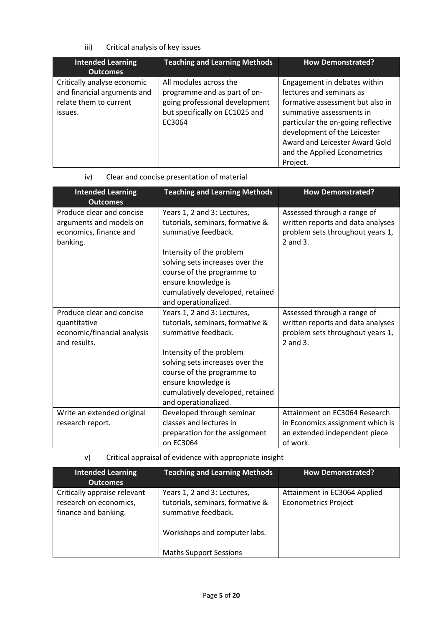# iii) Critical analysis of key issues

| <b>Intended Learning</b><br><b>Outcomes</b>                                                     | <b>Teaching and Learning Methods</b>                                                                                                 | <b>How Demonstrated?</b>                                                                                                                                                                                                                                                     |
|-------------------------------------------------------------------------------------------------|--------------------------------------------------------------------------------------------------------------------------------------|------------------------------------------------------------------------------------------------------------------------------------------------------------------------------------------------------------------------------------------------------------------------------|
| Critically analyse economic<br>and financial arguments and<br>relate them to current<br>issues. | All modules across the<br>programme and as part of on-<br>going professional development<br>but specifically on EC1025 and<br>EC3064 | Engagement in debates within<br>lectures and seminars as<br>formative assessment but also in<br>summative assessments in<br>particular the on-going reflective<br>development of the Leicester<br>Award and Leicester Award Gold<br>and the Applied Econometrics<br>Project. |

# iv) Clear and concise presentation of material

| <b>Intended Learning</b><br><b>Outcomes</b>                                                | <b>Teaching and Learning Methods</b>                                                                                                                                                                                                                                   | <b>How Demonstrated?</b>                                                                                         |
|--------------------------------------------------------------------------------------------|------------------------------------------------------------------------------------------------------------------------------------------------------------------------------------------------------------------------------------------------------------------------|------------------------------------------------------------------------------------------------------------------|
| Produce clear and concise<br>arguments and models on<br>economics, finance and<br>banking. | Years 1, 2 and 3: Lectures,<br>tutorials, seminars, formative &<br>summative feedback.<br>Intensity of the problem<br>solving sets increases over the<br>course of the programme to<br>ensure knowledge is<br>cumulatively developed, retained<br>and operationalized. | Assessed through a range of<br>written reports and data analyses<br>problem sets throughout years 1,<br>2 and 3. |
| Produce clear and concise<br>quantitative<br>economic/financial analysis<br>and results.   | Years 1, 2 and 3: Lectures,<br>tutorials, seminars, formative &<br>summative feedback.<br>Intensity of the problem<br>solving sets increases over the<br>course of the programme to<br>ensure knowledge is<br>cumulatively developed, retained<br>and operationalized. | Assessed through a range of<br>written reports and data analyses<br>problem sets throughout years 1,<br>2 and 3. |
| Write an extended original<br>research report.                                             | Developed through seminar<br>classes and lectures in                                                                                                                                                                                                                   | Attainment on EC3064 Research<br>in Economics assignment which is                                                |
|                                                                                            | preparation for the assignment<br>on EC3064                                                                                                                                                                                                                            | an extended independent piece<br>of work.                                                                        |

v) Critical appraisal of evidence with appropriate insight

| <b>Intended Learning</b><br><b>Outcomes</b>                                    | <b>Teaching and Learning Methods</b>                                                                                   | <b>How Demonstrated?</b>                                    |
|--------------------------------------------------------------------------------|------------------------------------------------------------------------------------------------------------------------|-------------------------------------------------------------|
| Critically appraise relevant<br>research on economics,<br>finance and banking. | Years 1, 2 and 3: Lectures,<br>tutorials, seminars, formative &<br>summative feedback.<br>Workshops and computer labs. | Attainment in EC3064 Applied<br><b>Econometrics Project</b> |
|                                                                                | <b>Maths Support Sessions</b>                                                                                          |                                                             |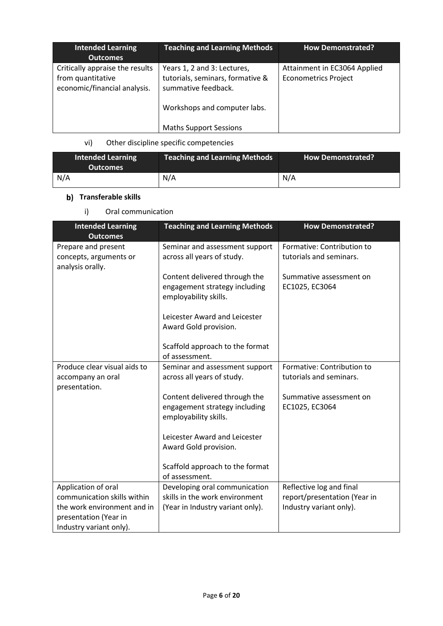| <b>Intended Learning</b><br><b>Outcomes</b>                                          | <b>Teaching and Learning Methods</b>                                                                                   | <b>How Demonstrated?</b>                                    |
|--------------------------------------------------------------------------------------|------------------------------------------------------------------------------------------------------------------------|-------------------------------------------------------------|
| Critically appraise the results<br>from quantitative<br>economic/financial analysis. | Years 1, 2 and 3: Lectures,<br>tutorials, seminars, formative &<br>summative feedback.<br>Workshops and computer labs. | Attainment in EC3064 Applied<br><b>Econometrics Project</b> |
|                                                                                      | <b>Maths Support Sessions</b>                                                                                          |                                                             |

# vi) Other discipline specific competencies

| <b>Intended Learning</b><br><b>Outcomes</b> | <b>Teaching and Learning Methods</b> | <b>How Demonstrated?</b> |
|---------------------------------------------|--------------------------------------|--------------------------|
| N/A                                         | N/A                                  | N/A                      |

# **b)** Transferable skills

i) Oral communication

| <b>Intended Learning</b><br><b>Outcomes</b>                                     | <b>Teaching and Learning Methods</b>                                                    | <b>How Demonstrated?</b>                              |
|---------------------------------------------------------------------------------|-----------------------------------------------------------------------------------------|-------------------------------------------------------|
| Prepare and present<br>concepts, arguments or<br>analysis orally.               | Seminar and assessment support<br>across all years of study.                            | Formative: Contribution to<br>tutorials and seminars. |
|                                                                                 | Content delivered through the<br>engagement strategy including<br>employability skills. | Summative assessment on<br>EC1025, EC3064             |
|                                                                                 | Leicester Award and Leicester<br>Award Gold provision.                                  |                                                       |
|                                                                                 | Scaffold approach to the format<br>of assessment.                                       |                                                       |
| Produce clear visual aids to<br>accompany an oral<br>presentation.              | Seminar and assessment support<br>across all years of study.                            | Formative: Contribution to<br>tutorials and seminars. |
|                                                                                 | Content delivered through the<br>engagement strategy including<br>employability skills. | Summative assessment on<br>EC1025, EC3064             |
|                                                                                 | Leicester Award and Leicester<br>Award Gold provision.                                  |                                                       |
|                                                                                 | Scaffold approach to the format<br>of assessment.                                       |                                                       |
| Application of oral                                                             | Developing oral communication                                                           | Reflective log and final                              |
| communication skills within                                                     | skills in the work environment                                                          | report/presentation (Year in                          |
| the work environment and in<br>presentation (Year in<br>Industry variant only). | (Year in Industry variant only).                                                        | Industry variant only).                               |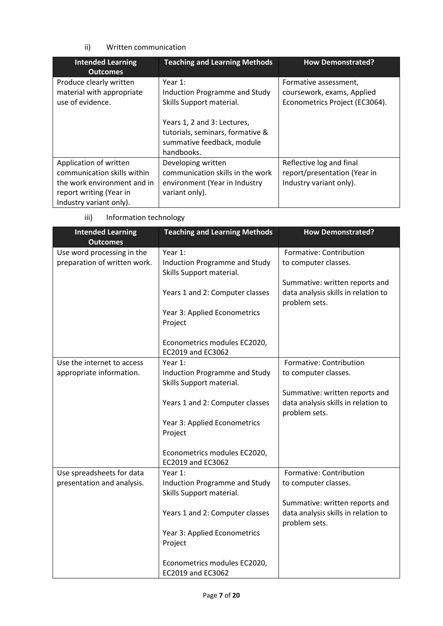### ii) Written communication

| <b>Intended Learning</b><br><b>Outcomes</b>                                                                                                | <b>Teaching and Learning Methods</b>                                                                                                                                                   | <b>How Demonstrated?</b>                                                              |
|--------------------------------------------------------------------------------------------------------------------------------------------|----------------------------------------------------------------------------------------------------------------------------------------------------------------------------------------|---------------------------------------------------------------------------------------|
| Produce clearly written<br>material with appropriate<br>use of evidence.                                                                   | Year $1$ :<br>Induction Programme and Study<br>Skills Support material.<br>Years 1, 2 and 3: Lectures,<br>tutorials, seminars, formative &<br>summative feedback, module<br>handbooks. | Formative assessment,<br>coursework, exams, Applied<br>Econometrics Project (EC3064). |
| Application of written<br>communication skills within<br>the work environment and in<br>report writing (Year in<br>Industry variant only). | Developing written<br>communication skills in the work<br>environment (Year in Industry<br>variant only).                                                                              | Reflective log and final<br>report/presentation (Year in<br>Industry variant only).   |

iii) Information technology

| <b>Intended Learning</b><br><b>Outcomes</b> | <b>Teaching and Learning Methods</b> | <b>How Demonstrated?</b>            |
|---------------------------------------------|--------------------------------------|-------------------------------------|
| Use word processing in the                  | Year 1:                              | Formative: Contribution             |
| preparation of written work.                | <b>Induction Programme and Study</b> | to computer classes.                |
|                                             | Skills Support material.             |                                     |
|                                             |                                      | Summative: written reports and      |
|                                             | Years 1 and 2: Computer classes      | data analysis skills in relation to |
|                                             |                                      | problem sets.                       |
|                                             | Year 3: Applied Econometrics         |                                     |
|                                             | Project                              |                                     |
|                                             |                                      |                                     |
|                                             | Econometrics modules EC2020,         |                                     |
|                                             | EC2019 and EC3062                    |                                     |
| Use the internet to access                  | Year 1:                              | Formative: Contribution             |
| appropriate information.                    | Induction Programme and Study        | to computer classes.                |
|                                             | Skills Support material.             |                                     |
|                                             |                                      | Summative: written reports and      |
|                                             | Years 1 and 2: Computer classes      | data analysis skills in relation to |
|                                             |                                      | problem sets.                       |
|                                             | Year 3: Applied Econometrics         |                                     |
|                                             | Project                              |                                     |
|                                             |                                      |                                     |
|                                             | Econometrics modules EC2020,         |                                     |
|                                             | EC2019 and EC3062                    |                                     |
| Use spreadsheets for data                   | Year 1:                              | Formative: Contribution             |
| presentation and analysis.                  | Induction Programme and Study        | to computer classes.                |
|                                             | Skills Support material.             |                                     |
|                                             |                                      | Summative: written reports and      |
|                                             | Years 1 and 2: Computer classes      | data analysis skills in relation to |
|                                             |                                      | problem sets.                       |
|                                             | Year 3: Applied Econometrics         |                                     |
|                                             | Project                              |                                     |
|                                             |                                      |                                     |
|                                             | Econometrics modules EC2020,         |                                     |
|                                             | EC2019 and EC3062                    |                                     |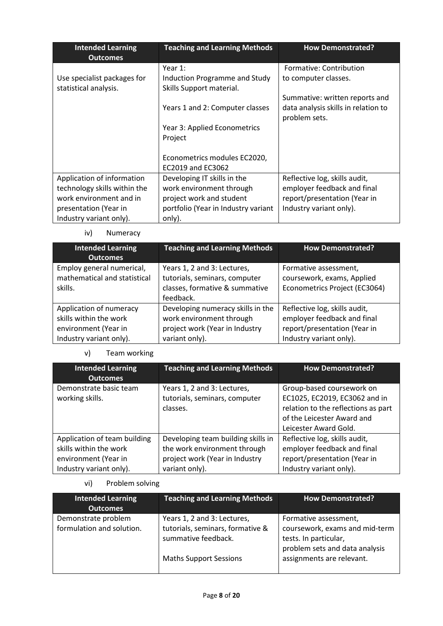| <b>Intended Learning</b><br><b>Outcomes</b>          | <b>Teaching and Learning Methods</b>                      | <b>How Demonstrated?</b>                             |  |
|------------------------------------------------------|-----------------------------------------------------------|------------------------------------------------------|--|
|                                                      | Year 1:                                                   | Formative: Contribution                              |  |
| Use specialist packages for<br>statistical analysis. | Induction Programme and Study<br>Skills Support material. | to computer classes.                                 |  |
|                                                      |                                                           | Summative: written reports and                       |  |
|                                                      | Years 1 and 2: Computer classes                           | data analysis skills in relation to<br>problem sets. |  |
|                                                      | Year 3: Applied Econometrics                              |                                                      |  |
|                                                      | Project                                                   |                                                      |  |
|                                                      |                                                           |                                                      |  |
|                                                      | Econometrics modules EC2020,                              |                                                      |  |
|                                                      | EC2019 and EC3062                                         |                                                      |  |
| Application of information                           | Developing IT skills in the                               | Reflective log, skills audit,                        |  |
| technology skills within the                         | work environment through                                  | employer feedback and final                          |  |
| work environment and in                              | project work and student                                  | report/presentation (Year in                         |  |
| presentation (Year in                                | portfolio (Year in Industry variant                       | Industry variant only).                              |  |
| Industry variant only).                              | only).                                                    |                                                      |  |

iv) Numeracy

| <b>Intended Learning</b><br><b>Outcomes</b>                                                          | <b>Teaching and Learning Methods</b>                                                                              | <b>How Demonstrated?</b>                                                                                                |
|------------------------------------------------------------------------------------------------------|-------------------------------------------------------------------------------------------------------------------|-------------------------------------------------------------------------------------------------------------------------|
| Employ general numerical,<br>mathematical and statistical<br>skills.                                 | Years 1, 2 and 3: Lectures,<br>tutorials, seminars, computer<br>classes, formative & summative<br>feedback.       | Formative assessment,<br>coursework, exams, Applied<br>Econometrics Project (EC3064)                                    |
| Application of numeracy<br>skills within the work<br>environment (Year in<br>Industry variant only). | Developing numeracy skills in the<br>work environment through<br>project work (Year in Industry<br>variant only). | Reflective log, skills audit,<br>employer feedback and final<br>report/presentation (Year in<br>Industry variant only). |

v) Team working

| <b>Intended Learning</b><br><b>Outcomes</b>                                                               | <b>Teaching and Learning Methods</b>                                                                                   | <b>How Demonstrated?</b>                                                                                                                                 |
|-----------------------------------------------------------------------------------------------------------|------------------------------------------------------------------------------------------------------------------------|----------------------------------------------------------------------------------------------------------------------------------------------------------|
| Demonstrate basic team<br>working skills.                                                                 | Years 1, 2 and 3: Lectures,<br>tutorials, seminars, computer<br>classes.                                               | Group-based coursework on<br>EC1025, EC2019, EC3062 and in<br>relation to the reflections as part<br>of the Leicester Award and<br>Leicester Award Gold. |
| Application of team building<br>skills within the work<br>environment (Year in<br>Industry variant only). | Developing team building skills in<br>the work environment through<br>project work (Year in Industry<br>variant only). | Reflective log, skills audit,<br>employer feedback and final<br>report/presentation (Year in<br>Industry variant only).                                  |

# vi) Problem solving

| <b>Intended Learning</b><br><b>Outcomes</b>      | <b>Teaching and Learning Methods</b>                                                                                    | <b>How Demonstrated?</b>                                                                                                                        |
|--------------------------------------------------|-------------------------------------------------------------------------------------------------------------------------|-------------------------------------------------------------------------------------------------------------------------------------------------|
| Demonstrate problem<br>formulation and solution. | Years 1, 2 and 3: Lectures,<br>tutorials, seminars, formative &<br>summative feedback.<br><b>Maths Support Sessions</b> | Formative assessment,<br>coursework, exams and mid-term<br>tests. In particular,<br>problem sets and data analysis<br>assignments are relevant. |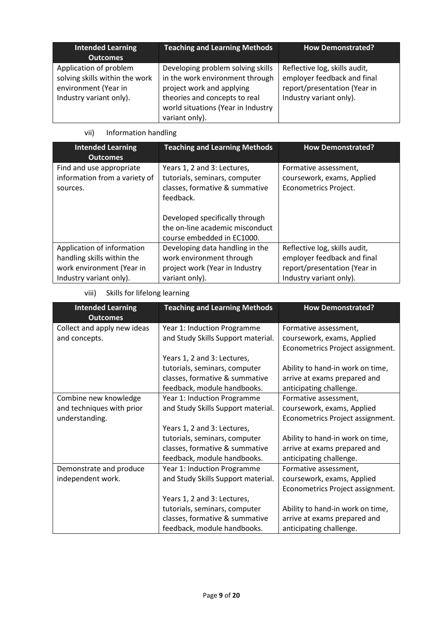| <b>Intended Learning</b><br><b>Outcomes</b>                                                                 | <b>Teaching and Learning Methods</b>                                                                                                                                                       | <b>How Demonstrated?</b>                                                                                                |
|-------------------------------------------------------------------------------------------------------------|--------------------------------------------------------------------------------------------------------------------------------------------------------------------------------------------|-------------------------------------------------------------------------------------------------------------------------|
| Application of problem<br>solving skills within the work<br>environment (Year in<br>Industry variant only). | Developing problem solving skills<br>in the work environment through<br>project work and applying<br>theories and concepts to real<br>world situations (Year in Industry<br>variant only). | Reflective log, skills audit,<br>employer feedback and final<br>report/presentation (Year in<br>Industry variant only). |

# vii) Information handling

| <b>Intended Learning</b><br><b>Outcomes</b>                                                                      | <b>Teaching and Learning Methods</b>                                                                                                                                                                           | <b>How Demonstrated?</b>                                                                                                |
|------------------------------------------------------------------------------------------------------------------|----------------------------------------------------------------------------------------------------------------------------------------------------------------------------------------------------------------|-------------------------------------------------------------------------------------------------------------------------|
| Find and use appropriate<br>information from a variety of<br>sources.                                            | Years 1, 2 and 3: Lectures,<br>tutorials, seminars, computer<br>classes, formative & summative<br>feedback.<br>Developed specifically through<br>the on-line academic misconduct<br>course embedded in EC1000. | Formative assessment,<br>coursework, exams, Applied<br>Econometrics Project.                                            |
| Application of information<br>handling skills within the<br>work environment (Year in<br>Industry variant only). | Developing data handling in the<br>work environment through<br>project work (Year in Industry<br>variant only).                                                                                                | Reflective log, skills audit,<br>employer feedback and final<br>report/presentation (Year in<br>Industry variant only). |

# viii) Skills for lifelong learning

| <b>Intended Learning</b><br><b>Outcomes</b> | <b>Teaching and Learning Methods</b> | <b>How Demonstrated?</b>         |
|---------------------------------------------|--------------------------------------|----------------------------------|
| Collect and apply new ideas                 | Year 1: Induction Programme          | Formative assessment,            |
| and concepts.                               | and Study Skills Support material.   | coursework, exams, Applied       |
|                                             |                                      | Econometrics Project assignment. |
|                                             | Years 1, 2 and 3: Lectures,          |                                  |
|                                             | tutorials, seminars, computer        | Ability to hand-in work on time, |
|                                             | classes, formative & summative       | arrive at exams prepared and     |
|                                             | feedback, module handbooks.          | anticipating challenge.          |
| Combine new knowledge                       | Year 1: Induction Programme          | Formative assessment,            |
| and techniques with prior                   | and Study Skills Support material.   | coursework, exams, Applied       |
| understanding.                              |                                      | Econometrics Project assignment. |
|                                             | Years 1, 2 and 3: Lectures,          |                                  |
|                                             | tutorials, seminars, computer        | Ability to hand-in work on time, |
|                                             | classes, formative & summative       | arrive at exams prepared and     |
|                                             | feedback, module handbooks.          | anticipating challenge.          |
| Demonstrate and produce                     | Year 1: Induction Programme          | Formative assessment,            |
| independent work.                           | and Study Skills Support material.   | coursework, exams, Applied       |
|                                             |                                      | Econometrics Project assignment. |
|                                             | Years 1, 2 and 3: Lectures,          |                                  |
|                                             | tutorials, seminars, computer        | Ability to hand-in work on time, |
|                                             | classes, formative & summative       | arrive at exams prepared and     |
|                                             | feedback, module handbooks.          | anticipating challenge.          |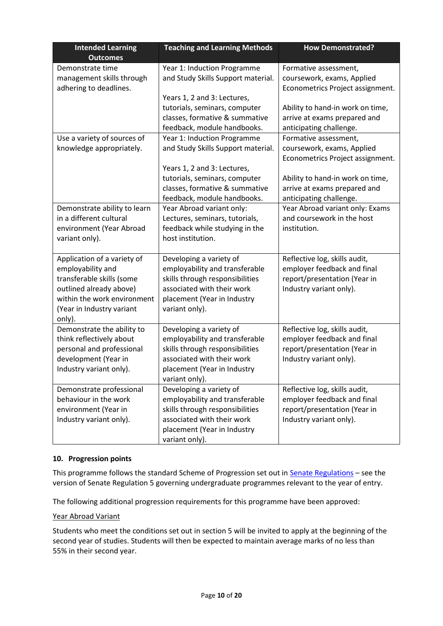| <b>Intended Learning</b>                                                                                                                                                       | <b>Teaching and Learning Methods</b>                                                                                                                                                               | <b>How Demonstrated?</b>                                                                                                                                                               |
|--------------------------------------------------------------------------------------------------------------------------------------------------------------------------------|----------------------------------------------------------------------------------------------------------------------------------------------------------------------------------------------------|----------------------------------------------------------------------------------------------------------------------------------------------------------------------------------------|
| <b>Outcomes</b>                                                                                                                                                                |                                                                                                                                                                                                    |                                                                                                                                                                                        |
| Demonstrate time<br>management skills through<br>adhering to deadlines.                                                                                                        | Year 1: Induction Programme<br>and Study Skills Support material.                                                                                                                                  | Formative assessment,<br>coursework, exams, Applied<br>Econometrics Project assignment.                                                                                                |
|                                                                                                                                                                                | Years 1, 2 and 3: Lectures,<br>tutorials, seminars, computer<br>classes, formative & summative<br>feedback, module handbooks.                                                                      | Ability to hand-in work on time,<br>arrive at exams prepared and<br>anticipating challenge.                                                                                            |
| Use a variety of sources of<br>knowledge appropriately.                                                                                                                        | Year 1: Induction Programme<br>and Study Skills Support material.<br>Years 1, 2 and 3: Lectures,<br>tutorials, seminars, computer<br>classes, formative & summative<br>feedback, module handbooks. | Formative assessment,<br>coursework, exams, Applied<br>Econometrics Project assignment.<br>Ability to hand-in work on time,<br>arrive at exams prepared and<br>anticipating challenge. |
| Demonstrate ability to learn<br>in a different cultural<br>environment (Year Abroad<br>variant only).                                                                          | Year Abroad variant only:<br>Lectures, seminars, tutorials,<br>feedback while studying in the<br>host institution.                                                                                 | Year Abroad variant only: Exams<br>and coursework in the host<br>institution.                                                                                                          |
| Application of a variety of<br>employability and<br>transferable skills (some<br>outlined already above)<br>within the work environment<br>(Year in Industry variant<br>only). | Developing a variety of<br>employability and transferable<br>skills through responsibilities<br>associated with their work<br>placement (Year in Industry<br>variant only).                        | Reflective log, skills audit,<br>employer feedback and final<br>report/presentation (Year in<br>Industry variant only).                                                                |
| Demonstrate the ability to<br>think reflectively about<br>personal and professional<br>development (Year in<br>Industry variant only).                                         | Developing a variety of<br>employability and transferable<br>skills through responsibilities<br>associated with their work<br>placement (Year in Industry<br>variant only).                        | Reflective log, skills audit,<br>employer feedback and final<br>report/presentation (Year in<br>Industry variant only).                                                                |
| Demonstrate professional<br>behaviour in the work<br>environment (Year in<br>Industry variant only).                                                                           | Developing a variety of<br>employability and transferable<br>skills through responsibilities<br>associated with their work<br>placement (Year in Industry<br>variant only).                        | Reflective log, skills audit,<br>employer feedback and final<br>report/presentation (Year in<br>Industry variant only).                                                                |

### **10. Progression points**

This programme follows the standard Scheme of Progression set out i[n Senate Regulations](http://www.le.ac.uk/senate-regulations) – see the version of Senate Regulation 5 governing undergraduate programmes relevant to the year of entry.

The following additional progression requirements for this programme have been approved:

### Year Abroad Variant

Students who meet the conditions set out in section 5 will be invited to apply at the beginning of the second year of studies. Students will then be expected to maintain average marks of no less than 55% in their second year.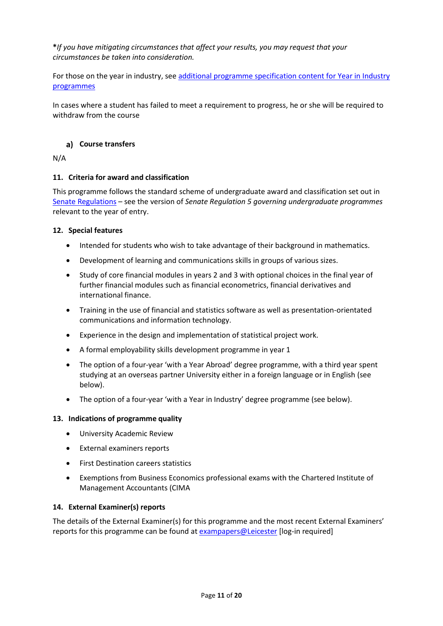**\****If you have mitigating circumstances that affect your results, you may request that your circumstances be taken into consideration.*

For those on the year in industry, see additional programme specification content for Year in Industry [programmes](https://www2.le.ac.uk/offices/sas2/courses/documentation/undergraduate-programme-specification-content-for-year-in-industry-programme-variants)

In cases where a student has failed to meet a requirement to progress, he or she will be required to withdraw from the course

### **Course transfers**

N/A

### **11. Criteria for award and classification**

This programme follows the standard scheme of undergraduate award and classification set out in [Senate Regulations](http://www.le.ac.uk/senate-regulations) – see the version of *Senate Regulation 5 governing undergraduate programmes* relevant to the year of entry.

### **12. Special features**

- Intended for students who wish to take advantage of their background in mathematics.
- Development of learning and communications skills in groups of various sizes.
- Study of core financial modules in years 2 and 3 with optional choices in the final year of further financial modules such as financial econometrics, financial derivatives and international finance.
- Training in the use of financial and statistics software as well as presentation-orientated communications and information technology.
- Experience in the design and implementation of statistical project work.
- A formal employability skills development programme in year 1
- The option of a four-year 'with a Year Abroad' degree programme, with a third year spent studying at an overseas partner University either in a foreign language or in English (see below).
- The option of a four-year 'with a Year in Industry' degree programme (see below).

### **13. Indications of programme quality**

- University Academic Review
- External examiners reports
- First Destination careers statistics
- Exemptions from Business Economics professional exams with the Chartered Institute of Management Accountants (CIMA

### **14. External Examiner(s) reports**

The details of the External Examiner(s) for this programme and the most recent External Examiners' reports for this programme can be found at [exampapers@Leicester](https://exampapers.le.ac.uk/) [log-in required]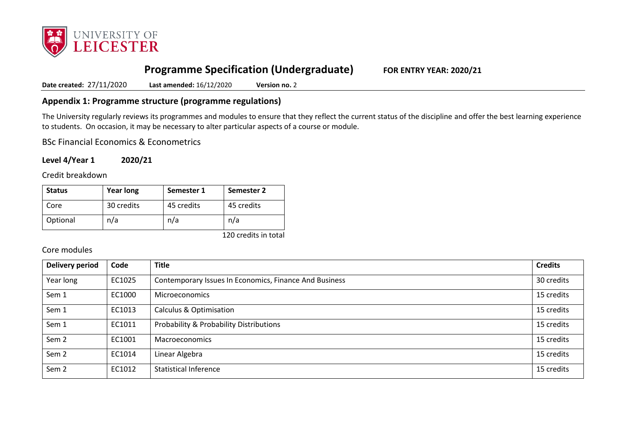

# **Programme Specification (Undergraduate) FOR ENTRY YEAR: 2020/21**

**Date created:** 27/11/2020 **Last amended:** 16/12/2020 **Version no.** 2

## **Appendix 1: Programme structure (programme regulations)**

The University regularly reviews its programmes and modules to ensure that they reflect the current status of the discipline and offer the best learning experience to students. On occasion, it may be necessary to alter particular aspects of a course or module.

BSc Financial Economics & Econometrics

**Level 4/Year 1 2020/21**

Credit breakdown

| <b>Status</b> | <b>Year long</b> | Semester 1 | <b>Semester 2</b> |
|---------------|------------------|------------|-------------------|
| Core          | 30 credits       | 45 credits | 45 credits        |
| Optional      | n/a              | n/a        | n/a               |

120 credits in total

### Core modules

| <b>Delivery period</b> | Code   | <b>Title</b>                                           | <b>Credits</b> |
|------------------------|--------|--------------------------------------------------------|----------------|
| Year long              | EC1025 | Contemporary Issues In Economics, Finance And Business | 30 credits     |
| Sem 1                  | EC1000 | <b>Microeconomics</b>                                  | 15 credits     |
| Sem 1                  | EC1013 | <b>Calculus &amp; Optimisation</b>                     | 15 credits     |
| Sem 1                  | EC1011 | Probability & Probability Distributions                | 15 credits     |
| Sem <sub>2</sub>       | EC1001 | Macroeconomics                                         | 15 credits     |
| Sem <sub>2</sub>       | EC1014 | Linear Algebra                                         | 15 credits     |
| Sem <sub>2</sub>       | EC1012 | <b>Statistical Inference</b>                           | 15 credits     |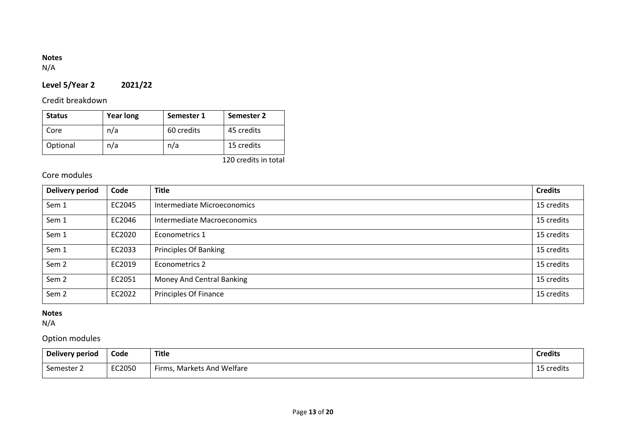# **Notes**

N/A

# **Level 5/Year 2 2021/22**

# Credit breakdown

| <b>Status</b> | <b>Year long</b> | Semester 1 | <b>Semester 2</b> |
|---------------|------------------|------------|-------------------|
| Core          | n/a              | 60 credits | 45 credits        |
| Optional      | n/a              | n/a        | 15 credits        |

120 credits in total

# Core modules

| <b>Delivery period</b> | Code   | <b>Title</b>                 | <b>Credits</b> |
|------------------------|--------|------------------------------|----------------|
| Sem 1                  | EC2045 | Intermediate Microeconomics  | 15 credits     |
| Sem 1                  | EC2046 | Intermediate Macroeconomics  | 15 credits     |
| Sem 1                  | EC2020 | Econometrics 1               | 15 credits     |
| Sem 1                  | EC2033 | <b>Principles Of Banking</b> | 15 credits     |
| Sem <sub>2</sub>       | EC2019 | Econometrics 2               | 15 credits     |
| Sem <sub>2</sub>       | EC2051 | Money And Central Banking    | 15 credits     |
| Sem <sub>2</sub>       | EC2022 | Principles Of Finance        | 15 credits     |

### **Notes**

N/A

# Option modules

| <b>Delivery period</b> | Code   | <b>Title</b>                    | <b>Credits</b> |
|------------------------|--------|---------------------------------|----------------|
| Semester 2             | EC2050 | , Markets And Welfare<br>Firms, | 15 credits     |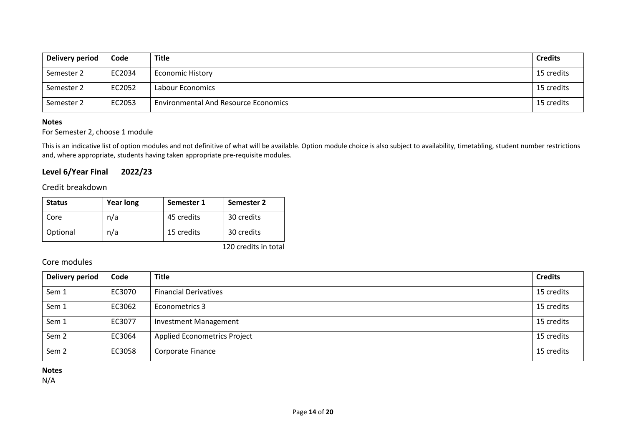| Delivery period | Code   | <b>Title</b>                                | <b>Credits</b> |
|-----------------|--------|---------------------------------------------|----------------|
| Semester 2      | EC2034 | <b>Economic History</b>                     | 15 credits     |
| Semester 2      | EC2052 | Labour Economics                            | 15 credits     |
| Semester 2      | EC2053 | <b>Environmental And Resource Economics</b> | 15 credits     |

#### **Notes**

### For Semester 2, choose 1 module

This is an indicative list of option modules and not definitive of what will be available. Option module choice is also subject to availability, timetabling, student number restrictions and, where appropriate, students having taken appropriate pre-requisite modules.

# **Level 6/Year Final 2022/23**

## Credit breakdown

| <b>Status</b> | <b>Year long</b> | Semester 1 | Semester 2 |
|---------------|------------------|------------|------------|
| Core          | n/a              | 45 credits | 30 credits |
| Optional      | n/a              | 15 credits | 30 credits |

120 credits in total

## Core modules

| <b>Delivery period</b> | Code   | <b>Title</b>                        | <b>Credits</b> |
|------------------------|--------|-------------------------------------|----------------|
| Sem 1                  | EC3070 | <b>Financial Derivatives</b>        | 15 credits     |
| Sem 1                  | EC3062 | Econometrics 3                      | 15 credits     |
| Sem 1                  | EC3077 | <b>Investment Management</b>        | 15 credits     |
| Sem <sub>2</sub>       | EC3064 | <b>Applied Econometrics Project</b> | 15 credits     |
| Sem <sub>2</sub>       | EC3058 | Corporate Finance                   | 15 credits     |

**Notes**

N/A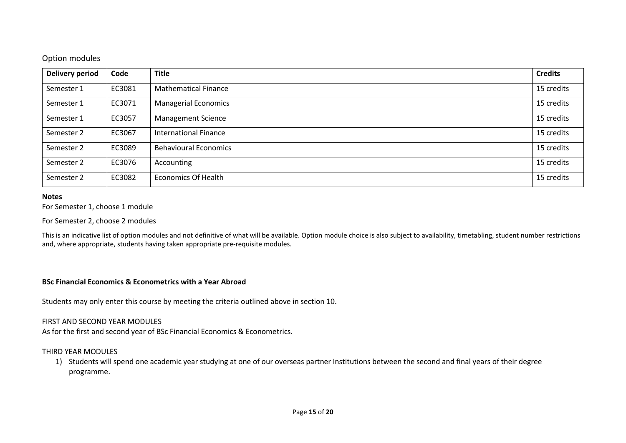### Option modules

| <b>Delivery period</b> | Code   | <b>Title</b>                 | <b>Credits</b> |
|------------------------|--------|------------------------------|----------------|
| Semester 1             | EC3081 | <b>Mathematical Finance</b>  | 15 credits     |
| Semester 1             | EC3071 | <b>Managerial Economics</b>  | 15 credits     |
| Semester 1             | EC3057 | <b>Management Science</b>    | 15 credits     |
| Semester 2             | EC3067 | <b>International Finance</b> | 15 credits     |
| Semester 2             | EC3089 | <b>Behavioural Economics</b> | 15 credits     |
| Semester 2             | EC3076 | Accounting                   | 15 credits     |
| Semester 2             | EC3082 | <b>Economics Of Health</b>   | 15 credits     |

#### **Notes**

For Semester 1, choose 1 module

For Semester 2, choose 2 modules

This is an indicative list of option modules and not definitive of what will be available. Option module choice is also subject to availability, timetabling, student number restrictions and, where appropriate, students having taken appropriate pre-requisite modules.

### **BSc Financial Economics & Econometrics with a Year Abroad**

Students may only enter this course by meeting the criteria outlined above in section 10.

### FIRST AND SECOND YEAR MODULES

As for the first and second year of BSc Financial Economics & Econometrics.

### THIRD YEAR MODULES

1) Students will spend one academic year studying at one of our overseas partner Institutions between the second and final years of their degree programme.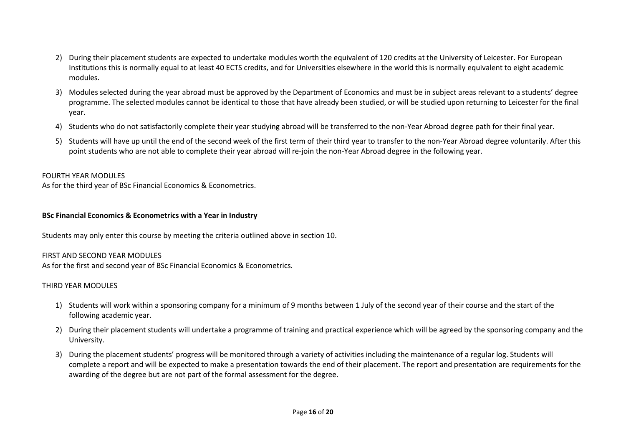- 2) During their placement students are expected to undertake modules worth the equivalent of 120 credits at the University of Leicester. For European Institutions this is normally equal to at least 40 ECTS credits, and for Universities elsewhere in the world this is normally equivalent to eight academic modules.
- 3) Modules selected during the year abroad must be approved by the Department of Economics and must be in subject areas relevant to a students' degree programme. The selected modules cannot be identical to those that have already been studied, or will be studied upon returning to Leicester for the final year.
- 4) Students who do not satisfactorily complete their year studying abroad will be transferred to the non-Year Abroad degree path for their final year.
- 5) Students will have up until the end of the second week of the first term of their third year to transfer to the non-Year Abroad degree voluntarily. After this point students who are not able to complete their year abroad will re-join the non-Year Abroad degree in the following year.

### FOURTH YEAR MODULES

As for the third year of BSc Financial Economics & Econometrics.

### **BSc Financial Economics & Econometrics with a Year in Industry**

Students may only enter this course by meeting the criteria outlined above in section 10.

### FIRST AND SECOND YEAR MODULES

As for the first and second year of BSc Financial Economics & Econometrics.

### THIRD YEAR MODULES

- 1) Students will work within a sponsoring company for a minimum of 9 months between 1 July of the second year of their course and the start of the following academic year.
- 2) During their placement students will undertake a programme of training and practical experience which will be agreed by the sponsoring company and the University.
- 3) During the placement students' progress will be monitored through a variety of activities including the maintenance of a regular log. Students will complete a report and will be expected to make a presentation towards the end of their placement. The report and presentation are requirements for the awarding of the degree but are not part of the formal assessment for the degree.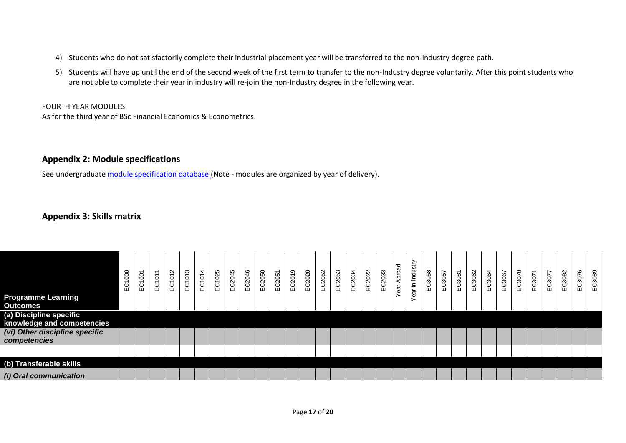- 4) Students who do not satisfactorily complete their industrial placement year will be transferred to the non-Industry degree path.
- 5) Students will have up until the end of the second week of the first term to transfer to the non-Industry degree voluntarily. After this point students who are not able to complete their year in industry will re-join the non-Industry degree in the following year.

### FOURTH YEAR MODULES

As for the third year of BSc Financial Economics & Econometrics.

## **Appendix 2: Module specifications**

See undergraduat[e module specification database](http://www.le.ac.uk/sas/courses/documentation) (Note - modules are organized by year of delivery).

# **Appendix 3: Skills matrix**

| <b>Programme Learning</b><br><b>Outcomes</b>          | 8<br>ΕČΊ | EC1001 | $\overline{\phantom{0}}$<br>EC101 | $\sim$<br>EC101: | ო<br>C101<br>Ш | $\overline{4}$<br>EC101- | EC1025 | EC2045 | EC2046 | EC2050 | EC2051 | EC2019 | EC2020 | EC2052 | EC2053 | EC2034 | EC2022 | EC2033 | ear Abroad | ⋋<br>ear in Industr | EC3058 | ∼<br>EC3057 | EC3081 | EC3062 | EC3064 | EC3067 | EC3070 | EC3071 | EC3077 | C3082<br>ш | EC3076 | EC3089 |
|-------------------------------------------------------|----------|--------|-----------------------------------|------------------|----------------|--------------------------|--------|--------|--------|--------|--------|--------|--------|--------|--------|--------|--------|--------|------------|---------------------|--------|-------------|--------|--------|--------|--------|--------|--------|--------|------------|--------|--------|
| (a) Discipline specific<br>knowledge and competencies |          |        |                                   |                  |                |                          |        |        |        |        |        |        |        |        |        |        |        |        |            |                     |        |             |        |        |        |        |        |        |        |            |        |        |
| (vi) Other discipline specific<br>competencies        |          |        |                                   |                  |                |                          |        |        |        |        |        |        |        |        |        |        |        |        |            |                     |        |             |        |        |        |        |        |        |        |            |        |        |
|                                                       |          |        |                                   |                  |                |                          |        |        |        |        |        |        |        |        |        |        |        |        |            |                     |        |             |        |        |        |        |        |        |        |            |        |        |
| (b) Transferable skills                               |          |        |                                   |                  |                |                          |        |        |        |        |        |        |        |        |        |        |        |        |            |                     |        |             |        |        |        |        |        |        |        |            |        |        |
| (i) Oral communication                                |          |        |                                   |                  |                |                          |        |        |        |        |        |        |        |        |        |        |        |        |            |                     |        |             |        |        |        |        |        |        |        |            |        |        |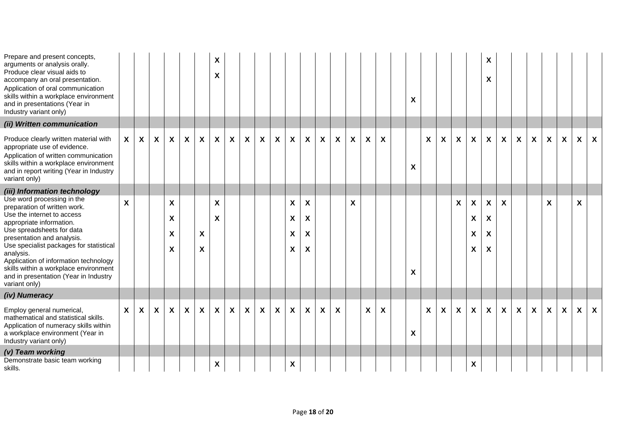| Prepare and present concepts,<br>arguments or analysis orally.<br>Produce clear visual aids to<br>accompany an oral presentation.<br>Application of oral communication<br>skills within a workplace environment<br>and in presentations (Year in<br>Industry variant only)                                                                                                          |                           |                  |   |                  |   |                                | X<br>X                  |                  |                  |                           |                  |                           |                           |                           |   |   |   |   | X |              |                           |                           |                                   | X<br>X           |                           |                  |                           |                           |                  |                           |              |
|-------------------------------------------------------------------------------------------------------------------------------------------------------------------------------------------------------------------------------------------------------------------------------------------------------------------------------------------------------------------------------------|---------------------------|------------------|---|------------------|---|--------------------------------|-------------------------|------------------|------------------|---------------------------|------------------|---------------------------|---------------------------|---------------------------|---|---|---|---|---|--------------|---------------------------|---------------------------|-----------------------------------|------------------|---------------------------|------------------|---------------------------|---------------------------|------------------|---------------------------|--------------|
| (ii) Written communication                                                                                                                                                                                                                                                                                                                                                          |                           |                  |   |                  |   |                                |                         |                  |                  |                           |                  |                           |                           |                           |   |   |   |   |   |              |                           |                           |                                   |                  |                           |                  |                           |                           |                  |                           |              |
| Produce clearly written material with<br>appropriate use of evidence.<br>Application of written communication<br>skills within a workplace environment<br>and in report writing (Year in Industry<br>variant only)                                                                                                                                                                  | $\mathsf{x}$              | $\boldsymbol{X}$ | X | $\mathbf{x}$     | X | X                              | X                       | $\boldsymbol{X}$ | X                | X                         | X                | $\boldsymbol{\mathsf{X}}$ | $\boldsymbol{\mathsf{X}}$ | $\boldsymbol{\mathsf{X}}$ | X | X | X | X | X | X            | X                         | X                         | X                                 | X                | X                         | $\boldsymbol{X}$ | $\boldsymbol{\mathsf{X}}$ | $\mathsf{x}$              | $\boldsymbol{X}$ | $\mathbf{x}$              | $\mathsf{X}$ |
| (iii) Information technology                                                                                                                                                                                                                                                                                                                                                        |                           |                  |   |                  |   |                                |                         |                  |                  |                           |                  |                           |                           |                           |   |   |   |   |   |              |                           |                           |                                   |                  |                           |                  |                           |                           |                  |                           |              |
| Use word processing in the<br>preparation of written work.<br>Use the internet to access<br>appropriate information.<br>Use spreadsheets for data<br>presentation and analysis.<br>Use specialist packages for statistical<br>analysis.<br>Application of information technology<br>skills within a workplace environment<br>and in presentation (Year in Industry<br>variant only) | $\boldsymbol{\mathsf{x}}$ |                  |   | X<br>X<br>X<br>X |   | X<br>$\boldsymbol{\mathsf{x}}$ | X<br>$\pmb{\mathsf{X}}$ |                  |                  |                           |                  | X<br>X<br>X<br>X          | X<br>X<br>X<br>X          |                           |   | X |   |   | X |              |                           | $\boldsymbol{\mathsf{X}}$ | $\pmb{\mathsf{X}}$<br>X<br>X<br>X | X<br>X<br>X<br>X | $\boldsymbol{\mathsf{X}}$ |                  |                           | $\boldsymbol{\mathsf{X}}$ |                  | $\boldsymbol{\mathsf{X}}$ |              |
| (iv) Numeracy                                                                                                                                                                                                                                                                                                                                                                       |                           |                  |   |                  |   |                                |                         |                  |                  |                           |                  |                           |                           |                           |   |   |   |   |   |              |                           |                           |                                   |                  |                           |                  |                           |                           |                  |                           |              |
| Employ general numerical,<br>mathematical and statistical skills.<br>Application of numeracy skills within<br>a workplace environment (Year in<br>Industry variant only)                                                                                                                                                                                                            | $\mathsf{x}$              | X                | X | $\mathbf{x}$     | X | $\boldsymbol{\mathsf{X}}$      | $\pmb{\mathsf{X}}$      | $\boldsymbol{X}$ | $\boldsymbol{X}$ | $\boldsymbol{\mathsf{X}}$ | $\boldsymbol{X}$ | $\boldsymbol{\mathsf{X}}$ | $\mathsf{X}$              | $\boldsymbol{X}$          | X |   | X | X | X | $\mathsf{X}$ | $\boldsymbol{\mathsf{X}}$ | X                         | $\boldsymbol{\mathsf{X}}$         | X                | $\boldsymbol{X}$          | $\boldsymbol{X}$ | $\boldsymbol{\mathsf{X}}$ | $\mathsf{x}$              | $\boldsymbol{X}$ | X                         | $\mathbf{x}$ |
| (v) Team working<br>Demonstrate basic team working<br>skills.                                                                                                                                                                                                                                                                                                                       |                           |                  |   |                  |   |                                | X                       |                  |                  |                           |                  | X                         |                           |                           |   |   |   |   |   |              |                           |                           | X                                 |                  |                           |                  |                           |                           |                  |                           |              |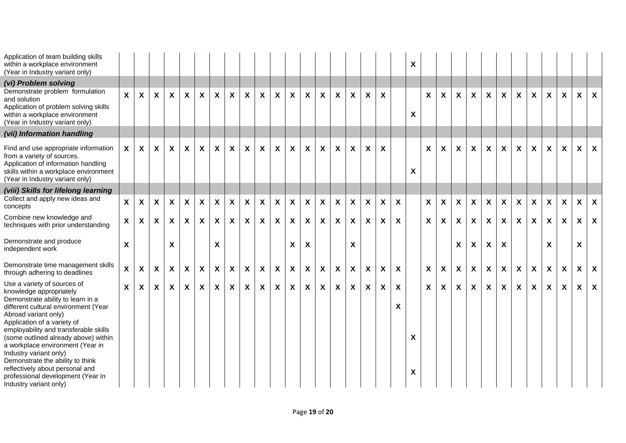| Application of team building skills<br>within a workplace environment<br>(Year in Industry variant only)                                                                                                                                                                                                                                                                                                                                                                        |              |                           |                           |                           |              |              |                           |                           |                           |                  |                           |                           |                           |                           |                           |              |                  |                           |                           | X      |              |                           |                           |                           |              |                           |                           |                           |                           |                           |                  |              |
|---------------------------------------------------------------------------------------------------------------------------------------------------------------------------------------------------------------------------------------------------------------------------------------------------------------------------------------------------------------------------------------------------------------------------------------------------------------------------------|--------------|---------------------------|---------------------------|---------------------------|--------------|--------------|---------------------------|---------------------------|---------------------------|------------------|---------------------------|---------------------------|---------------------------|---------------------------|---------------------------|--------------|------------------|---------------------------|---------------------------|--------|--------------|---------------------------|---------------------------|---------------------------|--------------|---------------------------|---------------------------|---------------------------|---------------------------|---------------------------|------------------|--------------|
| (vi) Problem solving<br>Demonstrate problem formulation<br>and solution<br>Application of problem solving skills<br>within a workplace environment<br>(Year in Industry variant only)                                                                                                                                                                                                                                                                                           | $\mathsf{X}$ | $\mathsf{x}$              | $\mathsf{X}$              | $\boldsymbol{\mathsf{X}}$ | $\mathsf{X}$ | X            | $\mathsf{x}$              | $\boldsymbol{\mathsf{X}}$ | $\boldsymbol{X}$          | $\mathbf{x}$     | $\boldsymbol{\mathsf{X}}$ | $\mathsf{x}$              | $\boldsymbol{\mathsf{X}}$ | X                         | X                         | $\mathsf{x}$ | X                | X                         |                           | X      | $\mathsf{X}$ | $\boldsymbol{X}$          | $\mathsf{X}$              | $\boldsymbol{X}$          | $\mathsf{X}$ | $\boldsymbol{\mathsf{X}}$ | $\boldsymbol{X}$          | $\mathbf{x}$              | $\mathsf{x}$              | $\mathsf{x}$              | $\mathsf{X}$     | $\mathsf{x}$ |
| (vii) Information handling                                                                                                                                                                                                                                                                                                                                                                                                                                                      |              |                           |                           |                           |              |              |                           |                           |                           |                  |                           |                           |                           |                           |                           |              |                  |                           |                           |        |              |                           |                           |                           |              |                           |                           |                           |                           |                           |                  |              |
| Find and use appropriate information<br>from a variety of sources.<br>Application of information handling<br>skills within a workplace environment<br>(Year in Industry variant only)                                                                                                                                                                                                                                                                                           | $\mathsf{x}$ | $\mathsf{x}$              | $\boldsymbol{\mathsf{X}}$ | $\mathsf{x}$              | $\mathbf{x}$ | X            | $\mathsf{x}$              | $\boldsymbol{\mathsf{X}}$ | $\boldsymbol{X}$          | $\mathsf{x}$     | $\boldsymbol{\mathsf{X}}$ | $\boldsymbol{\mathsf{X}}$ | $\mathsf{x}$              | X                         | X                         | $\mathsf{x}$ | X                | $\boldsymbol{X}$          |                           | X      | $\mathsf{X}$ | $\boldsymbol{X}$          | $\mathsf{X}$              | X                         | $\mathsf{X}$ | $\boldsymbol{\mathsf{X}}$ | $\boldsymbol{X}$          | $\mathbf{x}$              | $\boldsymbol{\mathsf{X}}$ | $\mathsf{X}$              | $\mathsf{x}$     | $\mathsf{x}$ |
| (viii) Skills for lifelong learning                                                                                                                                                                                                                                                                                                                                                                                                                                             |              |                           |                           |                           |              |              |                           |                           |                           |                  |                           |                           |                           |                           |                           |              |                  |                           |                           |        |              |                           |                           |                           |              |                           |                           |                           |                           |                           |                  |              |
| Collect and apply new ideas and<br>concepts                                                                                                                                                                                                                                                                                                                                                                                                                                     | $\mathsf{X}$ | $\boldsymbol{\mathsf{X}}$ | $\mathsf{x}$              | $\mathsf{X}$              | X            | X            | $\boldsymbol{X}$          | $\boldsymbol{\mathsf{X}}$ | $\boldsymbol{\mathsf{X}}$ | $\boldsymbol{X}$ | $\mathsf{x}$              | $\mathsf{x}$              | $\boldsymbol{\mathsf{X}}$ | X                         | X                         | $\mathsf{x}$ | $\boldsymbol{X}$ | $\boldsymbol{\mathsf{X}}$ | X                         |        | $\mathsf{X}$ | $\boldsymbol{\mathsf{X}}$ | X                         | X                         | $\mathsf{x}$ | $\boldsymbol{\mathsf{X}}$ | $\boldsymbol{\mathsf{X}}$ | $\boldsymbol{X}$          | $\mathsf{x}$              | $\mathsf{x}$              | $\mathsf{X}$     | $\mathsf{x}$ |
| Combine new knowledge and<br>techniques with prior understanding                                                                                                                                                                                                                                                                                                                                                                                                                | X            | $\boldsymbol{\mathsf{X}}$ | $\mathsf{x}$              | $\boldsymbol{X}$          | $\mathsf{X}$ | X            | $\mathsf{x}$              | $\boldsymbol{\mathsf{X}}$ | $\boldsymbol{X}$          | $\mathsf{X}$     | $\boldsymbol{\mathsf{X}}$ | $\mathsf{x}$              | $\boldsymbol{X}$          | $\boldsymbol{\mathsf{X}}$ | $\boldsymbol{\mathsf{X}}$ | $\mathsf{X}$ | $\boldsymbol{X}$ | $\boldsymbol{\mathsf{X}}$ | $\boldsymbol{\mathsf{X}}$ |        | $\mathsf{X}$ | $\boldsymbol{X}$          | $\mathsf{X}$              | X                         | $\mathsf{X}$ | $\boldsymbol{X}$          | $\boldsymbol{X}$          | $\mathbf{x}$              | $\boldsymbol{\mathsf{X}}$ | $\mathsf{x}$              | $\mathsf{X}$     | $\mathsf{x}$ |
| Demonstrate and produce<br>independent work                                                                                                                                                                                                                                                                                                                                                                                                                                     | X            |                           |                           | X                         |              |              | $\boldsymbol{\mathsf{x}}$ |                           |                           |                  |                           | X                         | $\boldsymbol{\mathsf{X}}$ |                           |                           | X            |                  |                           |                           |        |              |                           | X                         | X                         | X            | X                         |                           |                           | X                         |                           | $\boldsymbol{X}$ |              |
| Demonstrate time management skills<br>through adhering to deadlines                                                                                                                                                                                                                                                                                                                                                                                                             | X            | $\mathbf{x}$              | $\mathsf{x}$              | $\boldsymbol{\mathsf{X}}$ | X            | $\pmb{\chi}$ | $\boldsymbol{X}$          | $\boldsymbol{\mathsf{X}}$ | X                         | X                | $\mathsf{X}$              | $\boldsymbol{X}$          | $\boldsymbol{X}$          | $\pmb{\chi}$              | X                         | $\mathbf{x}$ | $\boldsymbol{X}$ | $\boldsymbol{X}$          | $\boldsymbol{\mathsf{X}}$ |        | $\mathsf{X}$ | $\boldsymbol{\mathsf{X}}$ | $\boldsymbol{\mathsf{X}}$ | $\boldsymbol{\mathsf{X}}$ | $\pmb{\chi}$ | $\boldsymbol{\mathsf{x}}$ | $\boldsymbol{\mathsf{X}}$ | X                         | $\mathsf{X}$              | $\boldsymbol{\mathsf{X}}$ | $\boldsymbol{X}$ | $\mathsf{x}$ |
| Use a variety of sources of<br>knowledge appropriately<br>Demonstrate ability to learn in a<br>different cultural environment (Year<br>Abroad variant only)<br>Application of a variety of<br>employability and transferable skills<br>(some outlined already above) within<br>a workplace environment (Year in<br>Industry variant only)<br>Demonstrate the ability to think<br>reflectively about personal and<br>professional development (Year in<br>Industry variant only) | X            | $\mathsf{x}$              | $\mathsf{x}$              | $\boldsymbol{\mathsf{X}}$ | $\mathsf{X}$ | X            | $\mathbf{x}$              | $\boldsymbol{\mathsf{X}}$ | $\boldsymbol{X}$          | $\mathsf{X}$     | $\boldsymbol{\mathsf{X}}$ | $\mathsf{X}$              | $\mathsf{x}$              | $\mathsf{x}$              | $\mathsf{x}$              | $\mathsf{x}$ | $\mathbf{x}$     | $\boldsymbol{\mathsf{X}}$ | X<br>X                    | X<br>X | $\mathsf{x}$ | $\mathsf{x}$              | $\mathsf{X}$              | $\boldsymbol{\mathsf{X}}$ | $\mathsf{X}$ | $\boldsymbol{X}$          | $\boldsymbol{X}$          | $\boldsymbol{\mathsf{X}}$ | $\mathsf{x}$              | $\mathsf{x}$              | $\mathsf{X}$     | $\mathsf{x}$ |